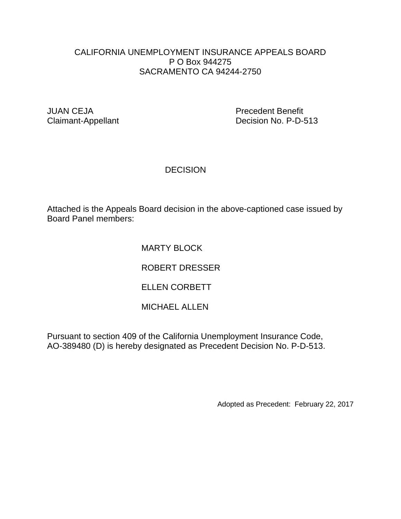# CALIFORNIA UNEMPLOYMENT INSURANCE APPEALS BOARD P O Box 944275 SACRAMENTO CA 94244-2750

JUAN CEJA Precedent Benefit Claimant-Appellant Decision No. P-D-513

# **DECISION**

Attached is the Appeals Board decision in the above-captioned case issued by Board Panel members:

# MARTY BLOCK

ROBERT DRESSER

# ELLEN CORBETT

# MICHAEL ALLEN

Pursuant to section 409 of the California Unemployment Insurance Code, AO-389480 (D) is hereby designated as Precedent Decision No. P-D-513.

Adopted as Precedent: February 22, 2017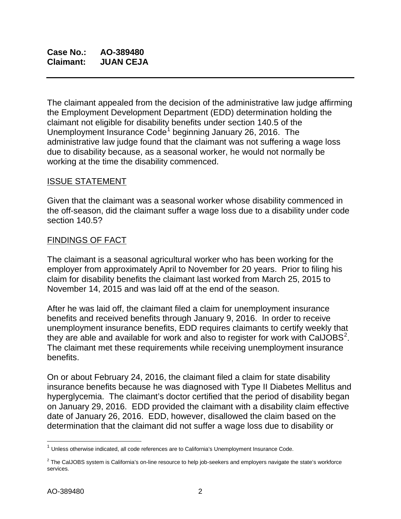**Case No.: AO-389480 Claimant: JUAN CEJA**

The claimant appealed from the decision of the administrative law judge affirming the Employment Development Department (EDD) determination holding the claimant not eligible for disability benefits under section 140.5 of the Unemployment Insurance Code<sup>[1](#page-1-0)</sup> beginning January 26, 2016. The administrative law judge found that the claimant was not suffering a wage loss due to disability because, as a seasonal worker, he would not normally be working at the time the disability commenced.

### ISSUE STATEMENT

Given that the claimant was a seasonal worker whose disability commenced in the off-season, did the claimant suffer a wage loss due to a disability under code section 140.5?

#### FINDINGS OF FACT

The claimant is a seasonal agricultural worker who has been working for the employer from approximately April to November for 20 years. Prior to filing his claim for disability benefits the claimant last worked from March 25, 2015 to November 14, 2015 and was laid off at the end of the season.

After he was laid off, the claimant filed a claim for unemployment insurance benefits and received benefits through January 9, 2016. In order to receive unemployment insurance benefits, EDD requires claimants to certify weekly that they are able and available for work and also to register for work with CalJOBS<sup>[2](#page-1-1)</sup>. The claimant met these requirements while receiving unemployment insurance benefits.

On or about February 24, 2016, the claimant filed a claim for state disability insurance benefits because he was diagnosed with Type II Diabetes Mellitus and hyperglycemia. The claimant's doctor certified that the period of disability began on January 29, 2016. EDD provided the claimant with a disability claim effective date of January 26, 2016. EDD, however, disallowed the claim based on the determination that the claimant did not suffer a wage loss due to disability or

 $\overline{\phantom{a}}$ 

<span id="page-1-0"></span> $1$  Unless otherwise indicated, all code references are to California's Unemployment Insurance Code.

<span id="page-1-1"></span> $2$  The CalJOBS system is California's on-line resource to help job-seekers and employers navigate the state's workforce services.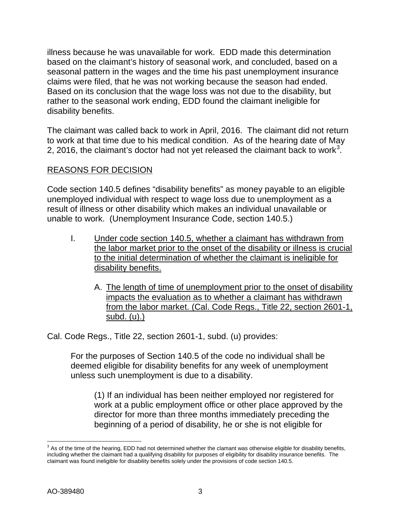illness because he was unavailable for work. EDD made this determination based on the claimant's history of seasonal work, and concluded, based on a seasonal pattern in the wages and the time his past unemployment insurance claims were filed, that he was not working because the season had ended. Based on its conclusion that the wage loss was not due to the disability, but rather to the seasonal work ending, EDD found the claimant ineligible for disability benefits.

The claimant was called back to work in April, 2016. The claimant did not return to work at that time due to his medical condition. As of the hearing date of May 2, 2016, the claimant's doctor had not yet released the claimant back to work<sup>[3](#page-2-0)</sup>.

# REASONS FOR DECISION

Code section 140.5 defines "disability benefits" as money payable to an eligible unemployed individual with respect to wage loss due to unemployment as a result of illness or other disability which makes an individual unavailable or unable to work. (Unemployment Insurance Code, section 140.5.)

- I. Under code section 140.5, whether a claimant has withdrawn from the labor market prior to the onset of the disability or illness is crucial to the initial determination of whether the claimant is ineligible for disability benefits.
	- A. The length of time of unemployment prior to the onset of disability impacts the evaluation as to whether a claimant has withdrawn from the labor market. (Cal. Code Regs., Title 22, section 2601-1, subd. (u).)

Cal. Code Regs., Title 22, section 2601-1, subd. (u) provides:

For the purposes of Section 140.5 of the code no individual shall be deemed eligible for disability benefits for any week of unemployment unless such unemployment is due to a disability.

(1) If an individual has been neither employed nor registered for work at a public employment office or other place approved by the director for more than three months immediately preceding the beginning of a period of disability, he or she is not eligible for

<span id="page-2-0"></span> $\overline{a}$  $3$  As of the time of the hearing. EDD had not determined whether the clamant was otherwise eligible for disability benefits, including whether the claimant had a qualifying disability for purposes of eligibility for disability insurance benefits. The claimant was found ineligible for disability benefits solely under the provisions of code section 140.5.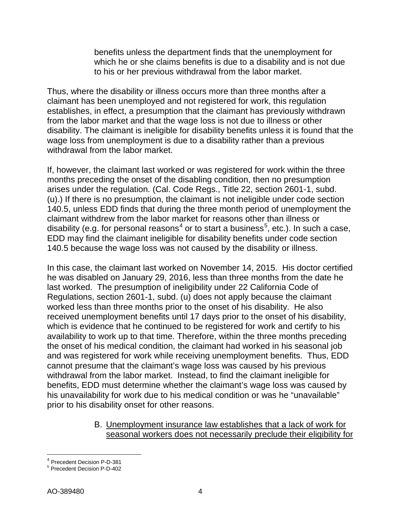benefits unless the department finds that the unemployment for which he or she claims benefits is due to a disability and is not due to his or her previous withdrawal from the labor market.

Thus, where the disability or illness occurs more than three months after a claimant has been unemployed and not registered for work, this regulation establishes, in effect, a presumption that the claimant has previously withdrawn from the labor market and that the wage loss is not due to illness or other disability. The claimant is ineligible for disability benefits unless it is found that the wage loss from unemployment is due to a disability rather than a previous withdrawal from the labor market.

If, however, the claimant last worked or was registered for work within the three months preceding the onset of the disabling condition, then no presumption arises under the regulation. (Cal. Code Regs., Title 22, section 2601-1, subd. (u).) If there is no presumption, the claimant is not ineligible under code section 140.5, unless EDD finds that during the three month period of unemployment the claimant withdrew from the labor market for reasons other than illness or disability (e.g. for personal reasons $^4$  $^4$  or to start a business $^5$  $^5$ , etc.). In such a case, EDD may find the claimant ineligible for disability benefits under code section 140.5 because the wage loss was not caused by the disability or illness.

In this case, the claimant last worked on November 14, 2015. His doctor certified he was disabled on January 29, 2016, less than three months from the date he last worked. The presumption of ineligibility under 22 California Code of Regulations, section 2601-1, subd. (u) does not apply because the claimant worked less than three months prior to the onset of his disability. He also received unemployment benefits until 17 days prior to the onset of his disability, which is evidence that he continued to be registered for work and certify to his availability to work up to that time. Therefore, within the three months preceding the onset of his medical condition, the claimant had worked in his seasonal job and was registered for work while receiving unemployment benefits. Thus, EDD cannot presume that the claimant's wage loss was caused by his previous withdrawal from the labor market. Instead, to find the claimant ineligible for benefits, EDD must determine whether the claimant's wage loss was caused by his unavailability for work due to his medical condition or was he "unavailable" prior to his disability onset for other reasons.

> B. Unemployment insurance law establishes that a lack of work for seasonal workers does not necessarily preclude their eligibility for

<span id="page-3-0"></span><sup>&</sup>lt;sup>4</sup> Precedent Decision P-D-381

<span id="page-3-1"></span><sup>&</sup>lt;sup>5</sup> Precedent Decision P-D-402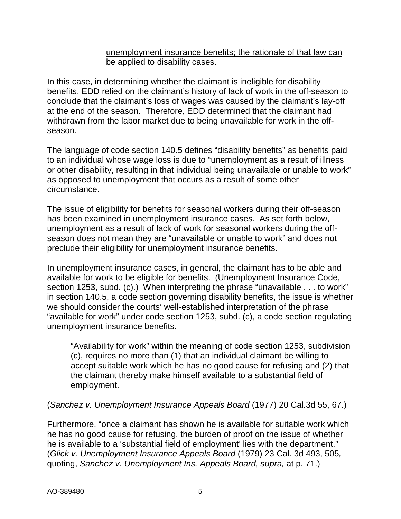### unemployment insurance benefits; the rationale of that law can be applied to disability cases.

In this case, in determining whether the claimant is ineligible for disability benefits, EDD relied on the claimant's history of lack of work in the off-season to conclude that the claimant's loss of wages was caused by the claimant's lay-off at the end of the season. Therefore, EDD determined that the claimant had withdrawn from the labor market due to being unavailable for work in the offseason.

The language of code section 140.5 defines "disability benefits" as benefits paid to an individual whose wage loss is due to "unemployment as a result of illness or other disability, resulting in that individual being unavailable or unable to work" as opposed to unemployment that occurs as a result of some other circumstance.

The issue of eligibility for benefits for seasonal workers during their off-season has been examined in unemployment insurance cases. As set forth below, unemployment as a result of lack of work for seasonal workers during the offseason does not mean they are "unavailable or unable to work" and does not preclude their eligibility for unemployment insurance benefits.

In unemployment insurance cases, in general, the claimant has to be able and available for work to be eligible for benefits. (Unemployment Insurance Code, section 1253, subd. (c).) When interpreting the phrase "unavailable . . . to work" in section 140.5, a code section governing disability benefits, the issue is whether we should consider the courts' well-established interpretation of the phrase "available for work" under code section 1253, subd. (c), a code section regulating unemployment insurance benefits.

"Availability for work" within the meaning of code section 1253, subdivision (c), requires no more than (1) that an individual claimant be willing to accept suitable work which he has no good cause for refusing and (2) that the claimant thereby make himself available to a substantial field of employment.

(*Sanchez v. Unemployment Insurance Appeals Board* (1977) 20 Cal.3d 55, 67.)

Furthermore, "once a claimant has shown he is available for suitable work which he has no good cause for refusing, the burden of proof on the issue of whether he is available to a 'substantial field of employment' lies with the department." (*Glick v. Unemployment Insurance Appeals Board* (1979) 23 Cal. 3d 493, 505*,*  quoting, *Sanchez v. Unemployment Ins. Appeals Board, supra,* at p. 71.)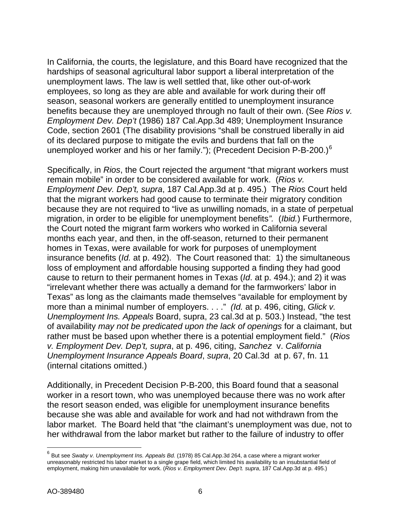In California, the courts, the legislature, and this Board have recognized that the hardships of seasonal agricultural labor support a liberal interpretation of the unemployment laws. The law is well settled that, like other out-of-work employees, so long as they are able and available for work during their off season, seasonal workers are generally entitled to unemployment insurance benefits because they are unemployed through no fault of their own. (See *Rios v. Employment Dev. Dep't* (1986) 187 Cal.App.3d 489; Unemployment Insurance Code, section 2601 (The disability provisions "shall be construed liberally in aid of its declared purpose to mitigate the evils and burdens that fall on the unemployed worker and his or her family."); (Precedent Decision P-B-200.) $^6$  $^6$ 

Specifically, in *Rios*, the Court rejected the argument "that migrant workers must remain mobile" in order to be considered available for work. (*Rios v. Employment Dev. Dep't, supra*, 187 Cal.App.3d at p. 495.) The *Rios* Court held that the migrant workers had good cause to terminate their migratory condition because they are not required to "live as unwilling nomads, in a state of perpetual migration, in order to be eligible for unemployment benefits*".* (*Ibid.*) Furthermore, the Court noted the migrant farm workers who worked in California several months each year, and then, in the off-season, returned to their permanent homes in Texas, were available for work for purposes of unemployment insurance benefits (*Id.* at p. 492). The Court reasoned that: 1) the simultaneous loss of employment and affordable housing supported a finding they had good cause to return to their permanent homes in Texas (*Id*. at p. 494.); and 2) it was "irrelevant whether there was actually a demand for the farmworkers' labor in Texas" as long as the claimants made themselves "available for employment by more than a minimal number of employers. . . ." *(Id.* at p. 496, citing, *Glick v. Unemployment Ins. Appeals* Board, supra, 23 cal.3d at p. 503.) Instead, "the test of availability *may not be predicated upon the lack of openings* for a claimant, but rather must be based upon whether there is a potential employment field." (*Rios v. Employment Dev. Dep't, supra*, at p. 496, citing, *Sanchez* v. *[California](http://www.lexis.com/research/buttonTFLink?_m=365ce76125490c1625b1ab2eb5be493b&_xfercite=%3ccite%20cc%3d%22USA%22%3e%3c%21%5bCDATA%5b187%20Cal.%20App.%203d%20489%5d%5d%3e%3c%2fcite%3e&_butType=3&_butStat=2&_butNum=36&_butInline=1&_butinfo=%3ccite%20cc%3d%22USA%22%3e%3c%21%5bCDATA%5b20%20Cal.%203d%2055%2c%2067%5d%5d%3e%3c%2fcite%3e&_fmtstr=FULL&docnum=1&_startdoc=1&wchp=dGLbVzt-zSkAz&_md5=8339e6d18fa182bccdb72063dce839e5)  [Unemployment Insurance Appeals Board](http://www.lexis.com/research/buttonTFLink?_m=365ce76125490c1625b1ab2eb5be493b&_xfercite=%3ccite%20cc%3d%22USA%22%3e%3c%21%5bCDATA%5b187%20Cal.%20App.%203d%20489%5d%5d%3e%3c%2fcite%3e&_butType=3&_butStat=2&_butNum=36&_butInline=1&_butinfo=%3ccite%20cc%3d%22USA%22%3e%3c%21%5bCDATA%5b20%20Cal.%203d%2055%2c%2067%5d%5d%3e%3c%2fcite%3e&_fmtstr=FULL&docnum=1&_startdoc=1&wchp=dGLbVzt-zSkAz&_md5=8339e6d18fa182bccdb72063dce839e5)*, *supra*, 20 Cal.3d at p. 67, fn. 11 (internal citations omitted.)

Additionally, in Precedent Decision P-B-200, this Board found that a seasonal worker in a resort town, who was unemployed because there was no work after the resort season ended, was eligible for unemployment insurance benefits because she was able and available for work and had not withdrawn from the labor market. The Board held that "the claimant's unemployment was due, not to her withdrawal from the labor market but rather to the failure of industry to offer

 $\overline{\phantom{a}}$ 

<span id="page-5-0"></span><sup>6</sup> But see *Swaby v. Unemployment Ins. Appeals Bd.* (1978) 85 Cal.App.3d 264, a case where a migrant worker unreasonably restricted his labor market to a single grape field, which limited his availability to an insubstantial field of employment, making him unavailable for work. (*Rios v. Employment Dev. Dep't. supra*, 187 Cal.App.3d at p. 495.)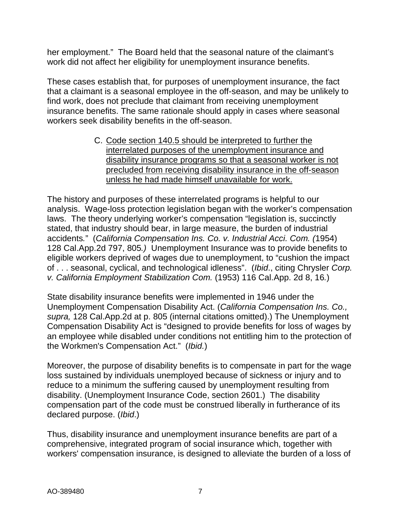her employment." The Board held that the seasonal nature of the claimant's work did not affect her eligibility for unemployment insurance benefits.

These cases establish that, for purposes of unemployment insurance, the fact that a claimant is a seasonal employee in the off-season, and may be unlikely to find work, does not preclude that claimant from receiving unemployment insurance benefits. The same rationale should apply in cases where seasonal workers seek disability benefits in the off-season.

> C. Code section 140.5 should be interpreted to further the interrelated purposes of the unemployment insurance and disability insurance programs so that a seasonal worker is not precluded from receiving disability insurance in the off-season unless he had made himself unavailable for work.

The history and purposes of these interrelated programs is helpful to our analysis. Wage-loss protection legislation began with the worker's compensation laws. The theory underlying worker's compensation "legislation is, succinctly stated, that industry should bear, in large measure, the burden of industrial accidents*.*"(*California Compensation Ins. Co. v. Industrial Acci. Com. (*1954) 128 Cal.App.2d 797, 805*.)* Unemployment Insurance was to provide benefits to eligible workers deprived of wages due to unemployment, to "cushion the impact of . . . seasonal, cyclical, and technological idleness". (*Ibid*., citing Chrysler *Corp. v. California Employment Stabilization Com.* (1953) 116 Cal.App. 2d 8, 16*.*)

State disability insurance benefits were implemented in 1946 under the Unemployment Compensation Disability Act. (*California Compensation Ins. Co., supra,* 128 Cal.App.2d at p. 805 (internal citations omitted).) The Unemployment Compensation Disability Act is "designed to provide benefits for loss of wages by an employee while disabled under conditions not entitling him to the protection of [th](http://www.lexis.com/research/xlink?app=00075&view=full&searchtype=get&search=128+Cal.+App.+2d+797%2520at%2520805)e Workmen's Compensation Act." (*[Ibid.](http://www.lexis.com/research/xlink?app=00075&view=full&searchtype=get&search=128+Cal.+App.+2d+797%2520at%2520805)*)

Moreover, the purpose of disability benefits is to compensate in part for the wage loss sustained by individuals unemployed because of sickness or injury and to reduce to a minimum the suffering caused by unemployment resulting from disability. (Unemployment Insurance Code, section 2601.) The disability compensation part of the code must be construed liberally in furtherance of its declared purpose. (*Ibid*.)

Thus, disability insurance and unemployment insurance benefits are part of a comprehensive, integrated program of social insurance which, together with workers' compensation insurance, is designed to alleviate the burden of a loss of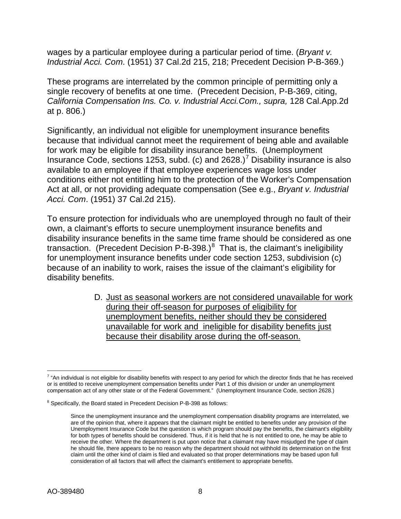wages by a particular employee during a particular period of time. (*Bryant v. Industrial Acci. Com*. (1951) [37 Cal.2d 215,](http://law.justia.com/cases/california/supreme-court/2d/37/215.html) 218; Precedent Decision P-B-369.)

These programs are interrelated by the common principle of permitting only a single recovery of benefits at one time. (Precedent Decision, P-B-369, citing, *California Compensation Ins. Co. v. Industrial Acci.Com., supra,* 128 Cal.App.2d at p. 806.)

Significantly, an individual not eligible for unemployment insurance benefits because that individual cannot meet the requirement of being able and available for work may be eligible for disability insurance benefits. (Unemployment Insurance Code, sections 1253, subd. (c) and  $2628$ .)<sup>[7](#page-7-0)</sup> Disability insurance is also available to an employee if that employee experiences wage loss under conditions either not entitling him to the protection of the Worker's Compensation Act at all, or not providing adequate compensation (See e.g., *Bryant v. Industrial Acci. Com*. (1951) [37 Cal.2d 215\)](http://law.justia.com/cases/california/supreme-court/2d/37/215.html).

To ensure protection for individuals who are unemployed through no fault of their own, a claimant's efforts to secure unemployment insurance benefits and disability insurance benefits in the same time frame should be considered as one transaction. (Precedent Decision P-B-39[8](#page-7-1).) $^8$  That is, the claimant's ineligibility for unemployment insurance benefits under code section 1253, subdivision (c) because of an inability to work, raises the issue of the claimant's eligibility for disability benefits.

> D. Just as seasonal workers are not considered unavailable for work during their off-season for purposes of eligibility for unemployment benefits, neither should they be considered unavailable for work and ineligible for disability benefits just because their disability arose during the off-season.

<span id="page-7-0"></span> $\overline{a}$  $^7$  "An individual is not eligible for disability benefits with respect to any period for which the director finds that he has received or is entitled to receive unemployment compensation benefits under Part 1 of this division or under an unemployment compensation act of any other state or of the Federal Government." (Unemployment Insurance Code, section 2628.)

<span id="page-7-1"></span><sup>&</sup>lt;sup>8</sup> Specifically, the Board stated in Precedent Decision P-B-398 as follows:

Since the unemployment insurance and the unemployment compensation disability programs are interrelated, we are of the opinion that, where it appears that the claimant might be entitled to benefits under any provision of the Unemployment Insurance Code but the question is which program should pay the benefits, the claimant's eligibility for both types of benefits should be considered. Thus, if it is held that he is not entitled to one, he may be able to receive the other. Where the department is put upon notice that a claimant may have misjudged the type of claim he should file, there appears to be no reason why the department should not withhold its determination on the first claim until the other kind of claim is filed and evaluated so that proper determinations may be based upon full consideration of all factors that will affect the claimant's entitlement to appropriate benefits.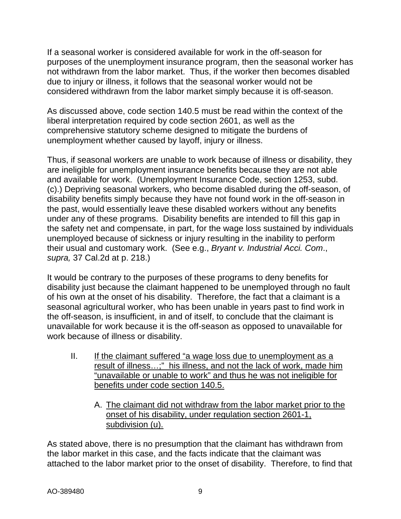If a seasonal worker is considered available for work in the off-season for purposes of the unemployment insurance program, then the seasonal worker has not withdrawn from the labor market. Thus, if the worker then becomes disabled due to injury or illness, it follows that the seasonal worker would not be considered withdrawn from the labor market simply because it is off-season.

As discussed above, code section 140.5 must be read within the context of the liberal interpretation required by code section 2601, as well as the comprehensive statutory scheme designed to mitigate the burdens of unemployment whether caused by layoff, injury or illness.

Thus, if seasonal workers are unable to work because of illness or disability, they are ineligible for unemployment insurance benefits because they are not able and available for work. (Unemployment Insurance Code, section 1253, subd. (c).) Depriving seasonal workers, who become disabled during the off-season, of disability benefits simply because they have not found work in the off-season in the past, would essentially leave these disabled workers without any benefits under any of these programs. Disability benefits are intended to fill this gap in the safety net and compensate, in part, for the wage loss sustained by individuals unemployed because of sickness or injury resulting in the inability to perform their usual and customary work. (See e.g., *Bryant v. Industrial Acci. Com*., *supra,* 37 Cal.2d at p. 218.)

It would be contrary to the purposes of these programs to deny benefits for disability just because the claimant happened to be unemployed through no fault of his own at the onset of his disability. Therefore, the fact that a claimant is a seasonal agricultural worker, who has been unable in years past to find work in the off-season, is insufficient, in and of itself, to conclude that the claimant is unavailable for work because it is the off-season as opposed to unavailable for work because of illness or disability.

- II. If the claimant suffered "a wage loss due to unemployment as a result of illness…;" his illness, and not the lack of work, made him "unavailable or unable to work" and thus he was not ineligible for benefits under code section 140.5.
	- A. The claimant did not withdraw from the labor market prior to the onset of his disability, under regulation section 2601-1, subdivision (u).

As stated above, there is no presumption that the claimant has withdrawn from the labor market in this case, and the facts indicate that the claimant was attached to the labor market prior to the onset of disability. Therefore, to find that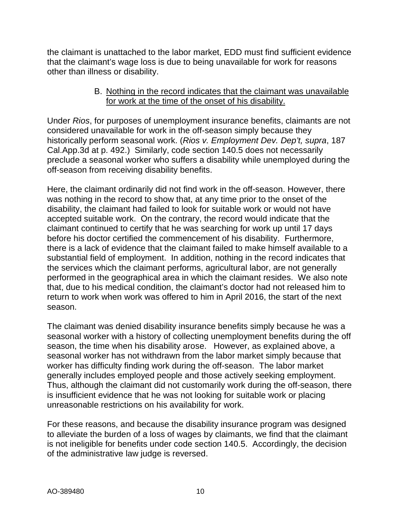the claimant is unattached to the labor market, EDD must find sufficient evidence that the claimant's wage loss is due to being unavailable for work for reasons other than illness or disability.

### B. Nothing in the record indicates that the claimant was unavailable for work at the time of the onset of his disability.

Under *Rios*, for purposes of unemployment insurance benefits, claimants are not considered unavailable for work in the off-season simply because they historically perform seasonal work. (*Rios v. Employment Dev. Dep't, supra*, 187 Cal.App.3d at p. 492.) Similarly, code section 140.5 does not necessarily preclude a seasonal worker who suffers a disability while unemployed during the off-season from receiving disability benefits.

Here, the claimant ordinarily did not find work in the off-season. However, there was nothing in the record to show that, at any time prior to the onset of the disability, the claimant had failed to look for suitable work or would not have accepted suitable work. On the contrary, the record would indicate that the claimant continued to certify that he was searching for work up until 17 days before his doctor certified the commencement of his disability. Furthermore, there is a lack of evidence that the claimant failed to make himself available to a substantial field of employment. In addition, nothing in the record indicates that the services which the claimant performs, agricultural labor, are not generally performed in the geographical area in which the claimant resides. We also note that, due to his medical condition, the claimant's doctor had not released him to return to work when work was offered to him in April 2016, the start of the next season.

The claimant was denied disability insurance benefits simply because he was a seasonal worker with a history of collecting unemployment benefits during the off season, the time when his disability arose. However, as explained above, a seasonal worker has not withdrawn from the labor market simply because that worker has difficulty finding work during the off-season. The labor market generally includes employed people and those actively seeking employment. Thus, although the claimant did not customarily work during the off-season, there is insufficient evidence that he was not looking for suitable work or placing unreasonable restrictions on his availability for work.

For these reasons, and because the disability insurance program was designed to alleviate the burden of a loss of wages by claimants, we find that the claimant is not ineligible for benefits under code section 140.5. Accordingly, the decision of the administrative law judge is reversed.